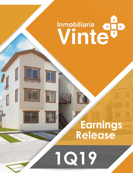## Inmobiliaria du  $\overline{\mathbf{u}}$

# **Earnings Release**

**www.internal.com 1** 

**1Q19**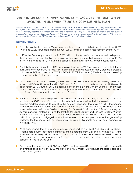

## **VINTE INCREASED ITS INVESTMENTS BY 30.6% OVER THE LAST TWELVE MONTHS, IN LINE WITH ITS 2018 & 2019 BUSINESS PLAN**

*Mexico City, Mexico, April 12, 2019. – Vinte Viviendas Integrales S.A.B. de C.V. (BMV: VINTE), a leading home builder in the development and commercialization of sustainable homes in Mexico, announced today its earnings results for the first quarter 2019. The figures presented in this report are expressed in nominal Mexican pesos, are based on internal and non-audited financial statements, prepared in accordance with IFRS and current interpretations (including the adoption of IFRS 16, which became applicable as of year 2019), and may include minor differences due to rounding.*

## **1Q19 HIGHLIGHTS**

- Over the last twelve months, Vinte increased its investments by 30.6%, led to growths of 20.0%, 17.4% and 22.0%, in Consolidated Revenue, EBITDA and Net Income, respectively, during 1Q19.
- $\bullet$  In 2018, the Company invested over Ps.3,350 million to strengthen its land bank, as well as deployed these resources in construction, urbanization and infrastructure. Furthermore, additional Ps.694 million were invested in 1Q19, given the certainty that prevails in the Mexican housing sector.
- **Profitability remained stable as LTM net margin stood at 14.9% (positively compared to full-year** 2018), since we continued to follow an investment strategy focused on highly profitable projects. In this sense, ROE improved from 17.9% in 1Q18 to 19.0% this quarter (+110 bps.), thus representing a strong incentive for further investments.
- Separately, this quarter's cash flow generation was positive, by Ps.34 million, vs. the negative Ps.113 million and Ps.166 million registered in 1Q18 and 1Q16, respectively, derived from the 17.4% growth achieved in EBITDA during 1Q19. This positive performance is in line with our Business Plan outlined at the end of last year. As of today, the Company's land bank represents over 37 thousand land plots for units' development, along the next 6.8 years.
- Before this context, the participation of subsidized units in Vinte's housing mix was nil, vs. the 2.0% registered in 4Q18, thus reflecting the strength that our operating flexibility provides us, as our business model is designed to adapt to the different conditions that may prevail in the housing demand. Furthermore, during the quarter we were able to fully tap into the dynamism of the Mexican Federal Institute for Worker's Housing (*Instituto del Fondo Nacional de la Vivienda para los Trabajadores* – "Infonavit") and the Institute for Social Security and Services for State Workers (*Instituto de Seguridad y Servicios Sociales de los Trabajadores del Estado* – "Fovissste"), as these institutions originated mortgage loans for its affiliates on an uninterrupted manner, thus generating certainty for the sector, just as commercial banks did, by implementing more competitive mortgage rates.
- **As of quarter-end, the level of indebtedness, measured as Net Debt / EBITDA and Net Debt /** Stockholders' Equity, recorded a slight sequential decrease, from 2.21 and 0.59 times to 2.16 and 0.58 times, respectively. It is important to note that 100% of Vinte's debt is denominated in Mexican Pesos with an average maturity of 6.0 years. This improvement provides us solid investment certainty for the following years.
- Gross pre-sales increased by 12.0% YoY in 1Q19; highlighting a 54% growth recorded in homes with an average price between Ps.900 thousand and Ps.3.9 million. Likewise, net pre-sales recorded a 15.4% annual growth.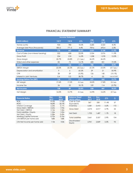

## **FINANCIAL STATEMENT SUMMARY**

| <b>Income Statement</b>              |             |             |             |                           |                    |                          |  |
|--------------------------------------|-------------|-------------|-------------|---------------------------|--------------------|--------------------------|--|
| (MXN million)                        | <b>1Q19</b> | <b>1Q18</b> | Δ%          | <b>LTM</b><br><b>1Q19</b> | <b>LTM</b><br>1Q18 | $\Delta\%$               |  |
| Homes (units)                        | 924         | 780         | 18.5%       | 4,685                     | 4,324              | 8.3%                     |  |
| Average Sale Price (thousands)       | 805.3       | 771.3       | 4.4%        | 709.6                     | 693.4              | 2.3%                     |  |
| <b>Revenue</b>                       | 776         | 647         | 20.0%       | 3,531                     | 3,154              | 11.9%                    |  |
| Cost of Sales (non-interest bearing) | 522         | 428         | 22.0%       | 2,324                     | 2,076              | 11.9%                    |  |
| Gross Profit                         | 254         | 218         | 16.3%       | 1,208                     | 1,078              | 12.0%                    |  |
| Gross Margin                         | 32.7%       | 33.8%       | $(1.1$ pp.) | 34.2%                     | 34.2%              | $\overline{\phantom{a}}$ |  |
| SG&A and other expenses              | 83          | 73          | 14.1%       | 420                       | 351                | 19.5%                    |  |
| <b>EBITDA</b>                        | 171         | 146         | 17.4%       | 788                       | 727                | 8.4%                     |  |
| <b>EBITDA Margin</b>                 | 22.0%       | 22.5%       | $(0.5$ pp.) | 22.3%                     | 23.0%              | $(0.7$ pp.)              |  |
| Depreciation and amortization        | 9           | 6           | 60.2%       | 29                        | 21                 | 35.9%                    |  |
| <b>CFR</b>                           | 28          | 29          | $(5.2\%)$   | 126                       | 140                | $(10.1\%)$               |  |
| Interest in Joint Ventures           | 0.4         | 0.3         | 38.7%       | $\overline{4}$            | (5)                | Loss to Profit           |  |
| <b>Earnings Before Tax (EBT)</b>     | 135         | 111         | 21.2%       | 637                       | 560                | 13.7%                    |  |
| <b>EBT Margin</b>                    | 17.4%       | 17.2%       | $0.2$ pp.   | 18.0%                     | 17.8%              | $0.2$ pp.                |  |
| Income Tax                           | 26          | 22          | 18.1%       | 109                       | 114                | $(3.7\%)$                |  |
| <b>Net Income</b>                    | 108         | 89          | 22.0%       | 528                       | 447                | 18.2%                    |  |
| <b>Net Margin</b>                    | 14.0%       | 13.7%       | $0.3$ pp.   | 14.9%                     | 14.2%              | $0.7$ pp.                |  |

| <b>Financial Ratios</b>           | Mar.<br>2019 | Mar.<br>2018 | <b>Balance Sheet</b><br>(MXN million) | Mar.<br>2019 | Dec.<br>2018 | $\Delta\%$ | Δ   |
|-----------------------------------|--------------|--------------|---------------------------------------|--------------|--------------|------------|-----|
| <b>ROE</b>                        | 19.0%        | 17.9%        | Cash & Cash                           | 367          | 330          | 11.4%      | 37  |
| <b>ROIC</b>                       | 18.8%        | 20.7%        | Equivalents                           |              |              |            |     |
| Interest Coverage                 | 6.24x        | 5.17x        | Inventory                             | 5.581        | 5.410        | 3.2%       | 172 |
| Gross Debt / EBITDA               | 2.63x        | 1.94x        | Gross Debt                            | 2.073        | 2.017        | 2.7%       | 55  |
| Net Debt / EBITDA                 | 2.16x        | 1.56x        |                                       |              |              |            |     |
| <b>Total Liabilities / Equity</b> | 1.24x        | 1.02x        | Net Debt                              | 1,705        | 1.687        | 1.1%       | 18  |
| Net Debt / Equity                 | 0.58x        | 0.43x        |                                       |              |              |            |     |
| <b>Working Capital Turnover</b>   | 0.70x        | 0.76x        | <b>Total Liabilities</b>              | 3.661        | 3.557        | 2.9%       | 104 |
| LTM EBITDA per home sold          | 168k         | 168k         |                                       |              |              |            |     |
| LTM Net Income per home sold      | 113k         | 103k         | Stockholders'<br>Equity               | 2.941        | 2.849        | 3.3%       | 93  |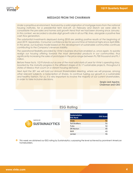

## **MESSAGE FROM THE CHAIRMAN**

Under a propitious environment, featured by a solid origination of mortgage loans from the national *housing institutes, for a presidential term kick-off, on February and March we were able to consolidate the pre-sales and homes sold growth trend that we had been showing since January. In this context, we recorded a double-digit growth rate in all our P&L lines, alongside a positive free cash flow generation.*

*The substantial investments deployed during 2018 are yielding positive results at the beginning of year 2019. Separately, Consumer confidence lies for second time at historical highs since April 2006. In this sense, our business model based on the development of sustainable communities continues contributing to the Company's revenue stability.*

*The operational flexibility provided by Vinte's business structure enabled us, once again, to quickly realign our housing offering towards the most demanded products in our communities; thus significantly increasing the sales of prototypes in the price range between Ps.700 thousand and Ps.1 million.*

*Before these facts, 1Q19 stands out as one of the most solid starts of year for Vinte's operating story, boosted by the maturity progress in the different stages of its 17 sustainable projects, throughout 6 states of Mexico that count on a vibrant housing demand.*

*Next April the 30th we will hold our Annual Shareholders Meeting, where we will propose, among other relevant subjects, a Subscription of Shares, to continue fueling our growth in a sustainable and healthy fashion. For us, it is very important to involve the majority of our current shareholders, in order to take inclusive decisions.*

> *Sergio Leal Aguirre,* **Chairman and CEO**

## **ESG Rating**



| <b>Sustainalytics</b><br><b>ESG Rank</b> | <b>ESG Score</b> |
|------------------------------------------|------------------|
| <b>Vinte</b>                             | 51               |
| <b>Toll Brothers</b>                     | 51               |
| Pulte                                    | 50               |
| DR Horton                                | 45               |
| <b>NVR</b>                               | 43               |
| Lennar                                   | 41               |

This week we obtained our ESG rating by Sustainalytics; surpassing the level achieved by prominent American homebuilders.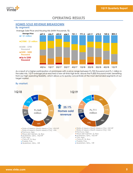

## **OPERATING RESULTS**

## **HOMES SOLD REVENUE BREAKDOWN**

## **By segment:**

Average Sale Price and Housing Mix (MXN thousands, %)



As a result of a higher participation of prototypes with a price range between Ps.700 thousand and Ps.1 million in the sales mix, 1Q19 average price reached a new all-time high level, above the Ps.800 thousand mark; benefiting from our high operating flexibility, which allows us to quickly concentrate at the most demanded segments of our target market.

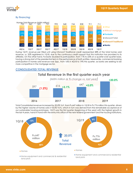

## **By financing:**



During 1Q19, revenue per titled unit using Infonavit Traditional credit represented 38% of the total homes sold revenue, vs. 32% registered in 1Q18, due to the continuous credit support that this institution has provided to its affiliates. On the other hand, Fovissste doubled its participation, from 11% to 22% on a quarter-over-quarter basis, having a strong start of the presidential term in the performance of both entities. Meanwhile, commercial banking participation in homes sold revenue rose 3pp., from 16% in 4Q18 to 19% this quarter, as banks are seeking to be more competitive in the mortgage sector.

## **CONSOLIDATED TOTAL REVENUE**



Total Consolidated revenue increased by 20.0% YoY, from Ps.647 million in 1Q18 to Ps.776 million this quarter, driven by the higher volume of homes sold (+18.5% YoY), which in turn was derived from the remarkable acceptance of our sustainable housing prototypes. 1Q19 was the first quarter (beginning of the year) with the highest growth in the last 4 years, hand in hand with the entry into office of the new federal government and the housing institutions.



**Home equipment and commercial & residential** land plots

Home equipment and commercial & residential land plots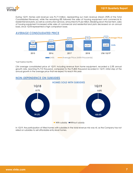

During 1Q19, Homes sold revenue was Ps.711million, representing our main revenue stream (92% of the Total Consolidated Revenue), while the remaining 8% followed the sales of housing equipment and commercial & residential land plots, as well as construction services, amounted to Ps.66 million. Breaking down the last item, sales of housing equipment increased while sales of commercial and residential land plots decreased on an annual basis, since 1Q18 represented a high comparison base.

## **AVERAGE CONSOLIDATED PRICE** 4,265 4,236 4,441 4,541 4,685 596 **624** <sup>672</sup> <sup>701</sup> <sup>710</sup> **Average Price 2015 2016 2017 2018 LTM 1Q19\* Units • Average Price (MXN thousands) Units**

\*Last twelve months

LTM average consolidated price at 1Q19, including revenue from home equipment, recorded a 2.3% annual growth rate, reaching Ps.710 thousand, compared to the Ps.805 thousand recorded in 1Q19, initial step of the annual growth in the average price that we expect to reach this year.



In 1Q19, the participation of titled homes with subsidies in the total revenue mix was nil, as the Company has not relied on subsidies to sell affordable entry-level homes.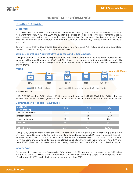

## **FINANCIAL PERFORMANCE**

#### **INCOME STATEMENT**

#### **Gross Profit**

1Q19 Gross Profit amounted to Ps.254 million, recording a 16.3% annual growth, vs. the Ps.218 million of 1Q18. Gross Profit went from 33.8% in 1Q18 to 32.7% this quarter, a decrease of 1.1 pp., due to the improvements made in urban development and homes' construction, to continue enhancing our sustainable business model. These initiatives have not yet been reflected in the average sale price, although they resulted in a higher volume of homes sold.

It is worth to note that the Cost of Sales does not consider Ps.17 million and Ps.14 million, associated to capitalized interests on inventory during 1Q19 and 1Q18, respectively.

#### **Selling, General and Administrative Expenses and Other Expenses**

During the quarter, SG&A and Other Expenses totaled Ps.83 million, compared to the Ps.73 million recorded in the same period last year. However, the SG&A and Other Expenses to revenue ratio decreased 50 bps., from 11.2% in 1Q18 to 10.7% this quarter, following the economies of scale achieved with the 1Q19's Consolidated Revenue growth of 20%.

#### **EBITDA**



\*Last twelve months

In 1Q19, EBITDA reached Ps.171 million, a 17.4% annual growth. Meanwhile, LTM EBITDA totaled Ps.788 million, an 8.4% annual increase. LTM average EBITDA per titled home was Ps.168 thousand, in line with its annual benchmark.

#### **Comprehensive Financial Result (CFR):**

| <b>CONCEPT</b><br>(MXN million) | <b>1Q19</b> | <b>1Q18</b> | $\Delta\%$  |
|---------------------------------|-------------|-------------|-------------|
| Capitalized interests           | 17          | 14          | 18.5        |
| Interest Income                 | (7)         | (3)         | 109.9       |
| <b>Financial Expenses</b>       | 18          | 19          | (2.5)       |
| <b>Total CFR</b>                | 28          | 29          | (5.2)       |
|                                 |             |             |             |
| <b>CFR</b> to Revenue           | $3.6\%$     | $4.5\%$     | $(0.9$ pp.) |

During 1Q19, Comprehensive Financial Result (CFR) totaled Ps.28 million, down 5.2% vs. that of 1Q18, as a result of a higher interest income that offset the increase of capitalized interests and a 2.5% annual decrease in financial expenses. It is important to note that CFR to revenue ratio decreased by 90 bps., from 4.5% in 1Q18 to 3.6% in 1Q19. The Company plans to continue searching for sustainable funding through the issuance of "Vinte 19X" and "Vinte 19X-2", given the positive results obtained through the issuance of "Vinte 18X", carried out on last august.

#### **Income Tax:**

For the reporting period, Income Tax recorded Ps.26 million, a 18.1% increase when compared to the Ps.22 million in 1Q18. The effective tax rate of the Company for 1Q19 was 19.6%, decreasing 0.5 pp. when compared to the 1Q18 tax rate of 20.1%, due to the intensive investment activity of 2018.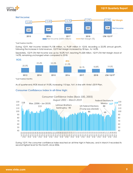



#### **Net Income:**

#### \*Last twelve months

During 1Q19, Net Income totaled Ps.108 million, vs. Ps.89 million in 1Q18, recording a 22.0% annual growth, following the increase in total revenue. 1Q19 Net Margin increased by 30 bps., to 14.0%.

Separately, 1Q19 LTM Net Income was up by 18.2% YoY, reaching Ps.528 million. 1Q19 LTM Net Margin stood at 14.9%, remaining unchanged when compared to 2018.



\*Last twelve months

As of quarter-end, ROE stood at 19.0%, increasing 110 bps. YoY, in line with Vinte's 2019 Plan.

#### **Consumer Confidence Index in all-time high:**



During 1Q19, the consumer confidence index reached an all-time high in February, and in March it recorded its second highest level for this month, since 2006.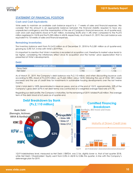

## **STATEMENT OF FINANCIAL POSITION**

#### **Cash and Cash Equivalents:**

Vinte seeks to maintain an available cash balance equal to 6 - 7 weeks of sales and financial expenses. We consider that this amount is an appropriate balance between the financial stability required to face any unpredicted contingency and the maximization of the use of Company's financial resources. As of quarter-end, cash and cash equivalents stood at Ps.367 million, increasing 35.0% and 11.4% when compared to the Ps.272 million registered in 1Q18 and the Ps.330 million in 4Q18, respectively. As of March 31, 2019, the cash balance was equivalent to 7.8 weeks of sales and financial expenses.

#### **Remaining Inventories:**

The inventory balance went from Ps.5,410 million as of December 31, 2018 to Ps.5,581 million as of quarter-end, growing by 3.3% YoY, in line with Vinte's 2019 Plan.

It is important to mention that Vinte's inventory is recorded at acquisition cost, therefore its market value tends to be higher, considering the inflationary effect since its acquisition and the homes' price appreciation that is presented at Vinte's developments.

#### **Debt:**

| Concept (MXN million) | 1019  | <b>4Q18</b> | 1Q18  |
|-----------------------|-------|-------------|-------|
| Gross Debt            | 2,073 | 2,017       | , 407 |
| Net Debt              | 1,705 | ,687        | 1.136 |

As of March 31, 2019, the Company's debt balance was Ps.2,110 million, and when discounting issuance costs according to IFRS, stood at Ps.2,073 million, up Ps.665 million versus 1Q18, following the use of Vinte 18X's raised proceeds and the use of credit lines for investments in sustainable housing developments over the last twelve months.

Vinte's total debt is 100% denominated in Mexican pesos, and as of the end of 1Q19, approximately, 55% of the Company's gross debt (67% in net debt terms) was contracted at a weighted average fixed rate of 9.7%.

Regarding our debt profile, the Company's maturities, for the remaining of 2019, totaled Ps.60 million. The average term of the debt stood at 6.0 years as of quarter-end.



1Q19 indebtedness level, measured as Net Debt / EBITDA, was 2.16x, slightly lower vs. that of last quarter 2018, while Net Debt / Shareholders' Equity went from 0.59x in 4Q18 to 0.58x this quarter, in line with the Company's deleverage plan for 2019.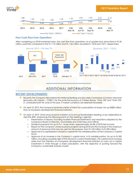

|      |      |      | Net Debt / EBITDA |      |                      | -Net Debt / Equity   |                      |      |                      |
|------|------|------|-------------------|------|----------------------|----------------------|----------------------|------|----------------------|
| 2013 | 2014 | 2015 | 2016              | 2017 | <b>LTM</b><br>Mar'18 | <b>LTM</b><br>Jun'18 | <b>LTM</b><br>Sep'18 | 2018 | <b>LTM</b><br>Mar'19 |
|      |      | 0.46 | 0.29              | 0.38 |                      |                      |                      |      |                      |
| 0.63 | 0.50 |      |                   |      | 0.43                 | 0.60                 | 0.59                 | 0.59 | 0.58                 |
| 1.88 | 1.35 | 1.18 | 1.08              | 1.35 | 1.56                 | 1.99                 | 1.99                 | 2.21 | 2.16                 |

#### **Free Cash Flow from Operation:**

After completing our 2018 investment plan, the cash flow from operations, as of quarter-end, amounted to Ps.34 million, positively compared to the Ps.-113 million and Ps.-166 million recorded in 1Q18 and 1Q17, respectively.



## **ADDITIONAL INFORMATION**

#### **RECENT DEVELOPMENTS**

- Recently the Company filed before the National Banking and Securities Commission (*Comision Nacional Bancaria y de Valore*s – "CNBV") for the potential issuance of 2 Green Bonds, "Vinte 19X" and "Vinte 19X-2", scheduled both for June of this year, if market conditions are deemed favorable.
- **••** On April 10, 2019, the Company received a letter of intent for a subscription of shares, for up US\$20 million, from an European development financial institution.

On April 12, 2019, Vinte announced its invitation to its Annual Shareholders Meeting, to be celebrated on April the 30th, embracing the following points on the Meeting's agenda:

- o Presentation of reports, including Audited Financial Statements and resolutions adopted by the Company's Board of Directors, Committees and Chief Executive Officer.
- o Dividend payments for up to Ps.1.14 per share, approximately 42.4% of 2018 Net Income.
- o Report on the Company's share buyback program during 2018 and the increase in the maximum amount of resources that may be used for this purpose, from Ps.100 million to Ps.200 million.
- o Approval of a capitalization of paid-in capital into the variable portion of the Company's Capital Stock.
- o Approval of an increase in the Company's capital stock, in its variable portion, for up to Ps.350 million, including a possible right of first refusal for current shareholders. This capital stock increase arises from the intention of a European development financial institution to carry out a capital investment in Vinte through a share subscription, with the objective of pushing forward the Company's sustainable business model.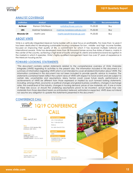

## **ANALYST COVERAGE**

| Institution | <b>Analyst</b>      | <b>Email</b>                | T.P.     | <b>Recommendation</b> |
|-------------|---------------------|-----------------------------|----------|-----------------------|
| Actinver    | Ramon Ortiz Reyes   | rortiz@actinver.com.mx      | Ps.33.00 | Buy                   |
| <b>UBS</b>  | Marimar Torreblanca | marimar.torreblanca@ubs.com | Ps.32.00 | Buy                   |
| Miranda GR  | Martin Lara         | martin.lara@miranda-gr.com  | Ps.33.00 | Buy                   |

## **ABOUT VINTE**

Vinte is a vertically integrated Mexican home builder with a clear focus on profitability. For more than 16 years it has been dedicated to developing sustainable housing complexes for low-, middle- and high- income families, focused on improving their quality of life, a commitment for which it has received multiple national and international awards. Vinte has developed more than 38 thousand homes across five states of Mexico, mainly in the center of the country, achieving a high level of loyalty amongst its clients and extensive brand recognition in the markets in which it operates. Vinte's highly-qualified management team has over 27 years of experience in the Mexican housing sector.

### **FOWARD LOOKING STATEMENTS**

*"This document contains certain statements related to the comprehensive overview of Vinte Viviendas Integrales (VINTE) regarding its activities to the present day. The information included in this document is a summary of information regarding VINTE which is not intended to cover all related information about VINTE. The information contained in this document has not been included to provide specific advice to investors. The statements contained herein reflect the current views of VINTE with respect to future events and are subject to certain risks, uncertainties and assumptions. Many factors could cause future results, performance or achievements of VINTE be different from those expressed or implied by such forward looking statements, including, among others, economic or political changes and global business conditions, changes in exchange rates, the overall level of the industry, changes in housing demand, prices of raw materials, etc. If one or more of these risks occur, or should the underlying assumptions prove to be incorrect, actual results may vary materially from those described herein as anticipated, believed, estimated or expected. VINTE does not intend nor assume any obligation to update the statements presented in this document."*

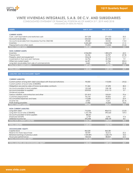

## **VINTE VIVIENDAS INTEGRALES, S.A.B. DE C.V. AND SUBSIDIARIES**

CONSOLIDATED STATEMENT OF FINANCIAL POSITION AS OF MARCH 31ST, 2019 AND 2018 (THOUSANDS OF MEXICAN PESOS)

| <b>ASSETS</b>                                                            | MAR 31, 2019 | MAR 31, 2018    | $\Delta\%$ |
|--------------------------------------------------------------------------|--------------|-----------------|------------|
|                                                                          |              |                 |            |
|                                                                          |              |                 |            |
| <b>CURRENT ASSETS:</b><br>Cash, cash equivalents and restricted cash     | 367,228      | 271,923         | 35.0       |
| Accounts receivable                                                      | 244,560      | 238,232         | 2.7        |
|                                                                          | 49,068       | 23,042          | 113.0      |
| Accounts receivable from Mayakoba Trust No CIB/2185                      | 2,634,460    | 2,664,708       | (1.1)      |
| Inventory<br>Prepayments and other assets                                | 99,093       | 116,842         | (15.2)     |
| <b>TOTAL CURRENT ASSETS</b>                                              | 3.394.409    | 3.314.748       | 2.4        |
|                                                                          |              |                 |            |
| <b>NON-CURRENT ASSETS:</b>                                               |              |                 |            |
| Inventory                                                                | 2,946,832    | 1,802,475       | 63.5       |
| Prepayments                                                              | 32,356       | 44.787          | (27.8)     |
| Property, plant and equipment                                            | 103,618      | 47,719          | 117.1      |
| Investments in Trust and Joint Ventures                                  | 54,796       | 50,783          | 7.9        |
| Other non-current assets                                                 | 66,391       | 21,946          | 202.5      |
| Long-term receivables from sale of commercial lots                       | 3,660        | 4,776           | (23.4)     |
| <b>TOTAL NON-CURRENT ASSETS</b>                                          | 3,207,653    | 1,972,486       | 62.6       |
|                                                                          |              |                 |            |
| <b>TOTAL ASSETS</b>                                                      | 6,602,062    | 5,287,233       | 24.9       |
|                                                                          |              |                 |            |
| LIABILITIES AND STOCKHOLDERS' EQUITY                                     |              |                 |            |
|                                                                          |              | <b>Contract</b> |            |
| <b>CURRENT LIABILITIES:</b>                                              |              |                 |            |
| Current portion of long-term debt subscribed with financial institutions | 90,000       | 110,000         | (18.2)     |
| Current portion of local notes (CEBURES)                                 |              |                 |            |
| Obligations secured by sales of future receivables contracts             | 91,362       | 57,698          | 58.3       |
| Accounts payable to land suppliers                                       | 132,268      | 108,158         | 22.3       |
| Accounts payable to suppliers                                            | 223,022      | 215,113         | 3.7        |
| Dividends payable                                                        | $\omega$     | $\omega$        | $\sim$     |
| Various creditors, subcontractors and other                              | 221,810      | 130,051         | 70.6       |
| Customer prepayments                                                     | 96,218       | 90,856          | 5.9        |
| Accumulated expenses and taxes                                           | 116,686      | 94,916          | 22.9       |
| Income tax                                                               | 4,920        | 7,221           | (31.9)     |
| Profit sharing payables                                                  | 17,960       | 10,263          | 75.0       |
| <b>TOTAL CURRENT LIABILITIES</b>                                         | 994.245      | 824.276         | 20.6       |
|                                                                          |              |                 |            |
| <b>NON-CURRENT LIABILITIES:</b>                                          |              |                 |            |
| Long-term debt                                                           | 710,356      | 806,913         | (12.0)     |
| Long-term local notes (CEBURES)                                          | 1,272,184    | 490,520         | 159.4      |
| Accounts payable to land suppliers                                       | 88,641       |                 |            |
| Employee benefits                                                        | 2.739        | 2,294           | 19.4       |
| Deferred income tax                                                      | 592,438      | 548,739         | 8.0        |
| <b>TOTAL NON-CURRENT LIABILITIES</b>                                     | 2,666,358    | 1,848,465       | 44.2       |
| <b>TOTAL LIABILITIES</b>                                                 | 3,660,603    |                 |            |
|                                                                          |              | 2,672,741       | 37.0       |
| <b>STOCKHOLDERS' EQUITY:</b>                                             |              |                 |            |
| Capital stock                                                            | 862,281      | 862,281         |            |
| Reserve for share repurchase                                             | 40,929       | 32,612          | 25.5       |
| Retained earnings of previous years                                      | 1,929,895    | 1.630.770       | 18.3       |
| Fiscal year performance                                                  | 108,354      | 88,829          | 22.0       |
| <b>TOTAL STOCKHOLDERS' EQUITY</b>                                        | 2,941,460    | 2,614,492       | 12.5       |
|                                                                          |              |                 |            |
| TOTAL LIABILITIES AND STOCKHOLDERS' EQUITY                               | 6,602,062    | 5.287.233       | 24.9       |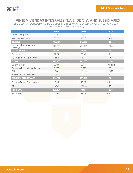

## **VINTE VIVIENDAS INTEGRALES, S.A.B. DE C.V. AND SUBSIDIARIES**

STATEMENT OF CONSOLIDATED INCOME FOR THE THREE-MONTHS ENDED MARCH 31st, 2019 AND 2018 (THOUSANDS OF MEXICAN PESOS)

|                                         | <b>1Q19</b> | <b>1Q18</b> | Var.%       |
|-----------------------------------------|-------------|-------------|-------------|
| Homes sold (units)                      | 924         | 780         | 18.5        |
| Average sale price                      | 805.3       | 771.3       | 4.4         |
| <b>REVENUE</b>                          | 776,107     | 646,503     | 20.0        |
| Cost of Sales (non-interest<br>bearing) | 522,366     | 428,253     | 22.0        |
| <b>GROSS PROFIT</b>                     | 253,740     | 218,250     | 16.3        |
| Gross margin                            | 32.7%       | 33.8%       | $(1.1$ pp.) |
| SG&A and other expenses                 | 82,832      | 72,617      | 14.1        |
| <b>EBITDA</b>                           | 170,908     | 145,633     | 17.4        |
| <b>EBITDA</b> margin                    | 22.0%       | 22.5%       | $(0.5$ pp.) |
| Depreciation and amortization           | 8,968       | 5,598       | 60.2        |
| <b>CFR</b>                              | 27,662      | 29,193      | (5.2)       |
| Interests in Joint Ventures             | 424         | 305         | 38.7        |
| <b>EARNINGS BEFORE TAXES</b>            | 134,701     | 111,147     | 21.2        |
| Earnings Before Taxes margin            | 17.4%       | 17.2%       | 0.2 pp.     |
| <b>ISR</b>                              | 26,347      | 22,318      | 18.1        |
| <b>NET INCOME</b>                       | 108,354     | 88,829      | 22.0        |
| Net margin                              | 14.0%       | 13.7%       | 0.3 pp.     |